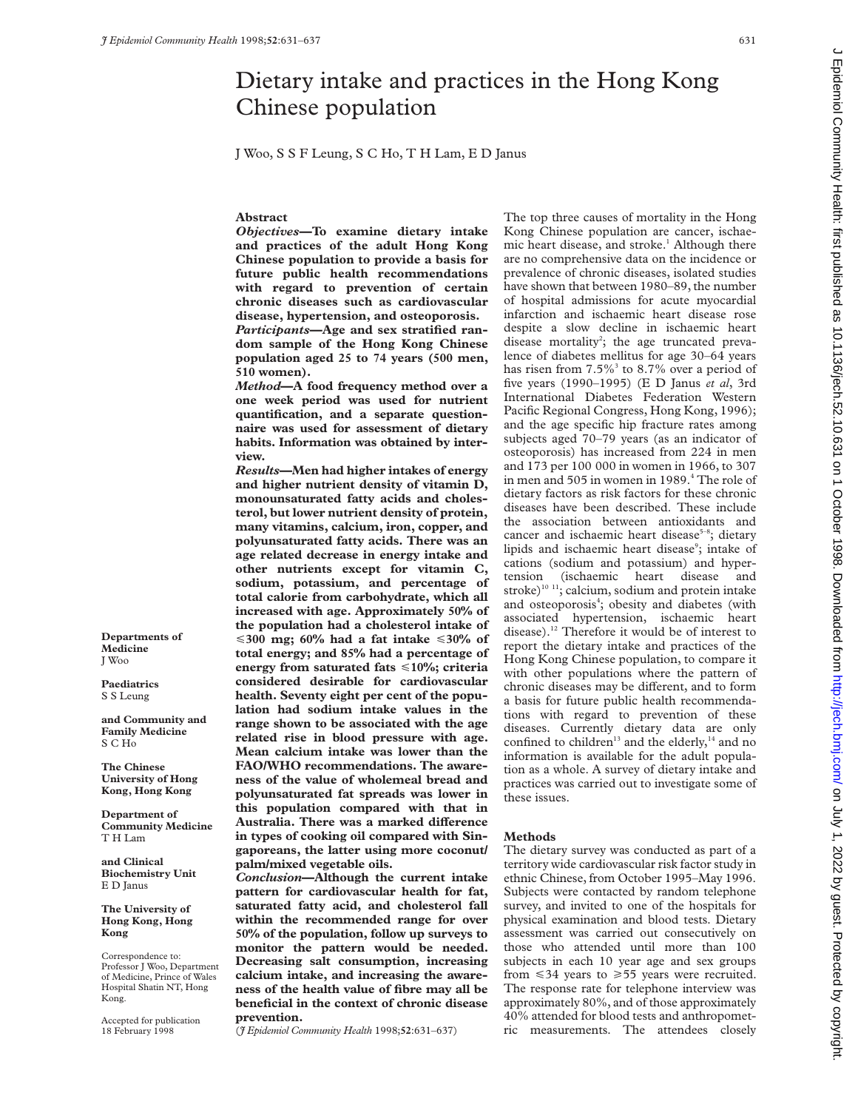# Dietary intake and practices in the Hong Kong Chinese population

J Woo, S S F Leung, S C Ho, T H Lam, E D Janus

# **Abstract**

*Objectives***—To examine dietary intake and practices of the adult Hong Kong Chinese population to provide a basis for future public health recommendations with regard to prevention of certain chronic diseases such as cardiovascular disease, hypertension, and osteoporosis.** *Participants***—Age and sex stratified random sample of the Hong Kong Chinese population aged 25 to 74 years (500 men, 510 women).**

*Method***—A food frequency method over a one week period was used for nutrient quantification, and a separate questionnaire was used for assessment of dietary habits. Information was obtained by interview.**

*Results***—Men had higher intakes of energy and higher nutrient density of vitamin D, monounsaturated fatty acids and cholesterol, but lower nutrient density of protein, many vitamins, calcium, iron, copper, and polyunsaturated fatty acids. There was an age related decrease in energy intake and other nutrients except for vitamin C, sodium, potassium, and percentage of total calorie from carbohydrate, which all increased with age. Approximately 50% of the population had a cholesterol intake of** <**300 mg; 60% had a fat intake** <**30% of total energy; and 85% had a percentage of energy from saturated fats** <**10%; criteria considered desirable for cardiovascular health. Seventy eight per cent of the population had sodium intake values in the range shown to be associated with the age related rise in blood pressure with age. Mean calcium intake was lower than the FAO/WHO recommendations. The awareness of the value of wholemeal bread and polyunsaturated fat spreads was lower in this population compared with that in** Australia. There was a marked difference **in types of cooking oil compared with Singaporeans, the latter using more coconut/ palm/mixed vegetable oils.**

*Conclusion***—Although the current intake pattern for cardiovascular health for fat, saturated fatty acid, and cholesterol fall within the recommended range for over 50% of the population, follow up surveys to monitor the pattern would be needed. Decreasing salt consumption, increasing calcium intake, and increasing the awareness of the health value of fibre may all be beneficial in the context of chronic disease prevention.**

(*J Epidemiol Community Health* 1998;**52**:631–637)

The top three causes of mortality in the Hong Kong Chinese population are cancer, ischaemic heart disease, and stroke.<sup>1</sup> Although there are no comprehensive data on the incidence or prevalence of chronic diseases, isolated studies have shown that between 1980–89, the number of hospital admissions for acute myocardial infarction and ischaemic heart disease rose despite a slow decline in ischaemic heart disease mortality<sup>2</sup>; the age truncated prevalence of diabetes mellitus for age 30–64 years has risen from  $7.5\%$ <sup>3</sup> to  $8.7\%$  over a period of five years (1990–1995) (E D Janus *et al*, 3rd International Diabetes Federation Western Pacific Regional Congress, Hong Kong, 1996); and the age specific hip fracture rates among subjects aged 70–79 years (as an indicator of osteoporosis) has increased from 224 in men and 173 per 100 000 in women in 1966, to 307 in men and 505 in women in 1989.<sup>4</sup> The role of dietary factors as risk factors for these chronic diseases have been described. These include the association between antioxidants and cancer and ischaemic heart disease<sup>5–8</sup>; dietary lipids and ischaemic heart disease<sup>9</sup>; intake of cations (sodium and potassium) and hypertension (ischaemic heart disease and stroke)<sup>10 11</sup>; calcium, sodium and protein intake and osteoporosis<sup>4</sup>; obesity and diabetes (with associated hypertension, ischaemic heart disease).<sup>12</sup> Therefore it would be of interest to report the dietary intake and practices of the Hong Kong Chinese population, to compare it with other populations where the pattern of chronic diseases may be different, and to form a basis for future public health recommendations with regard to prevention of these diseases. Currently dietary data are only confined to children<sup>13</sup> and the elderly,<sup>14</sup> and no information is available for the adult population as a whole. A survey of dietary intake and practices was carried out to investigate some of these issues.

#### **Methods**

The dietary survey was conducted as part of a territory wide cardiovascular risk factor study in ethnic Chinese, from October 1995–May 1996. Subjects were contacted by random telephone survey, and invited to one of the hospitals for physical examination and blood tests. Dietary assessment was carried out consecutively on those who attended until more than 100 subjects in each 10 year age and sex groups from  $\leq 34$  years to  $\geq 55$  years were recruited. The response rate for telephone interview was approximately 80%, and of those approximately 40% attended for blood tests and anthropometric measurements. The attendees closely

**Departments of Medicine** J Woo

**Paediatrics** S S Leung

**and Community and Family Medicine** S C Ho

**The Chinese University of Hong Kong, Hong Kong**

**Department of Community Medicine** T H Lam

**and Clinical Biochemistry Unit** E D Janus

**The University of Hong Kong, Hong Kong**

Correspondence to: Professor J Woo, Department of Medicine, Prince of Wales Hospital Shatin NT, Hong Kong.

Accepted for publication 18 February 1998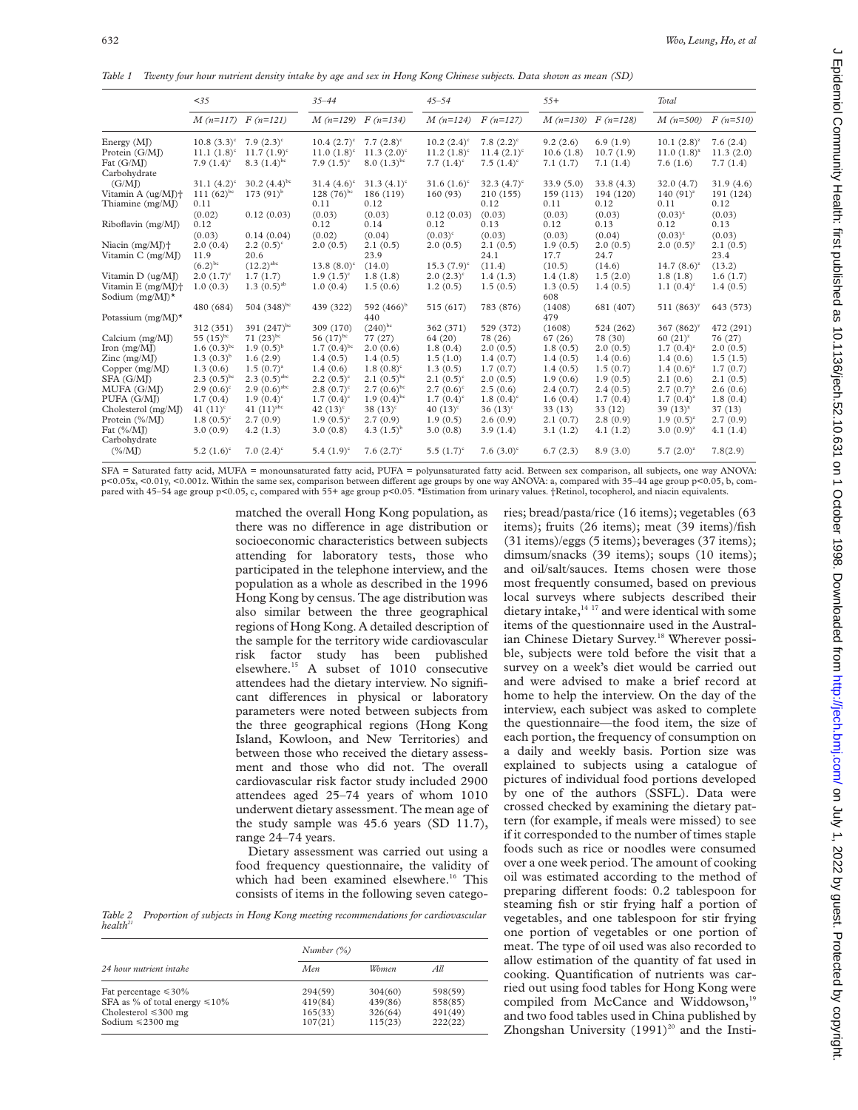*Table 1 Twenty four hour nutrient density intake by age and sex in Hong Kong Chinese subjects. Data shown as mean (SD)*

|                                         | < 35                            |                           | $35 - 44$                                  |                        | $45 - 54$      |                           | $55+$                 |                   | Total                 |                   |
|-----------------------------------------|---------------------------------|---------------------------|--------------------------------------------|------------------------|----------------|---------------------------|-----------------------|-------------------|-----------------------|-------------------|
|                                         | $M(n=117)$ $F(n=121)$           |                           | $M(n=129)$ $F(n=134)$                      |                        | $M(n=124)$     | $F(n=127)$                | $M(n=130)$ $F(n=128)$ |                   | $M(n=500)$            | $F(n=510)$        |
| Energy $(MJ)$                           | $10.8(3.3)^{c}$ 7.9 $(2.3)^{c}$ |                           | $10.4$ $(2.7)^{\circ}$ 7.7 $(2.8)^{\circ}$ |                        | $10.2 (2.4)^c$ | $7.8~(2.2)^c$             | 9.2(2.6)              | 6.9(1.9)          | $10.1 (2.8)^{z}$      | 7.6(2.4)          |
| Protein (G/MJ)                          | $11.1 (1.8)^c$                  | $11.7 (1.9)^c$            | $11.0 (1.8)^c$                             | $11.3 (2.0)^c$         | $11.2 (1.8)^c$ | $11.4 (2.1)^c$            | 10.6(1.8)             | 10.7(1.9)         | $11.0(1.8)^{x}$       | 11.3(2.0)         |
| Fat (G/MI)<br>Carbohydrate              | 7.9 $(1.4)^c$                   | 8.3 $(1.4)$ <sup>bc</sup> | 7.9 $(1.5)^c$                              | $8.0(1.3)^{bc}$        | 7.7 $(1.4)^c$  | 7.5 $(1.4)^c$             | 7.1(1.7)              | 7.1(1.4)          | 7.6(1.6)              | 7.7(1.4)          |
| (G/MI)                                  | $31.1 (4.2)^c$                  | 30.2 $(4.4)^{bc}$         | $31.4~(4.6)^c$                             | $31.3 (4.1)^c$         | $31.6 (1.6)^c$ | 32.3 $(4.7)$ <sup>c</sup> | 33.9(5.0)             | 33.8(4.3)         | 32.0(4.7)             | 31.9(4.6)         |
| Vitamin A (ug/MI)+<br>Thiamine (mg/MJ)  | 111 $(62)^{bc}$<br>0.11         | 173 $(91)^{b}$            | 128 $(76)^{bc}$<br>0.11                    | 186 (119)<br>0.12      | 160(93)        | 210 (155)<br>0.12         | 159 (113)<br>0.11     | 194 (120)<br>0.12 | $140(91)^{z}$<br>0.11 | 191 (124)<br>0.12 |
|                                         | (0.02)                          | 0.12(0.03)                | (0.03)                                     | (0.03)                 | 0.12(0.03)     | (0.03)                    | (0.03)                | (0.03)            | $(0.03)^{z}$          | (0.03)            |
| Riboflavin (mg/MJ)                      | 0.12                            |                           | 0.12                                       | 0.14                   | 0.12           | 0.13                      | 0.12                  | 0.13              | 0.12                  | 0.13              |
|                                         | (0.03)                          | 0.14(0.04)                | (0.02)                                     | (0.04)                 | $(0.03)^c$     | (0.03)                    | (0.03)                | (0.04)            | $(0.03)^{z}$          | (0.03)            |
| Niacin $(mg/M)$ <sup>+</sup>            | 2.0(0.4)                        | $2.2(0.5)^c$              | 2.0(0.5)                                   | 2.1(0.5)               | 2.0(0.5)       | 2.1(0.5)                  | 1.9(0.5)              | 2.0(0.5)          | $2.0(0.5)^y$          | 2.1(0.5)          |
| Vitamin C (mg/MJ)                       | 11.9                            | 20.6                      |                                            | 23.9                   |                | 24.1                      | 17.7                  | 24.7              |                       | 23.4              |
|                                         | $(6.2)^{bc}$                    | $(12.2)^{abc}$            | $13.8(8.0)^c$                              | (14.0)                 | $15.3 (7.9)^c$ | (11.4)                    | (10.5)                | (14.6)            | $14.7(8.6)^{z}$       | (13.2)            |
| Vitamin D (ug/MJ)                       | $2.0 (1.7)^c$                   | 1.7(1.7)                  | $1.9(1.5)^c$                               | 1.8(1.8)               | $2.0(2.3)^c$   | 1.4(1.3)                  | 1.4(1.8)              | 1.5(2.0)          | 1.8(1.8)              | 1.6(1.7)          |
| Vitamin E (mg/MJ)+<br>Sodium $(mg/M)^*$ | 1.0(0.3)                        | $1.3(0.5)^{ab}$           | 1.0(0.4)                                   | 1.5(0.6)               | 1.2(0.5)       | 1.5(0.5)                  | 1.3(0.5)<br>608       | 1.4(0.5)          | $1.1(0.4)^{z}$        | 1.4(0.5)          |
| Potassium (mg/MJ) $\star$               | 480 (684)                       | 504 $(348)$ <sup>bc</sup> | 439 (322)                                  | 592 $(466)^{b}$<br>440 | 515 (617)      | 783 (876)                 | (1408)<br>479         | 681 (407)         | 511 $(863)^y$         | 643 (573)         |
|                                         | 312 (351)                       | 391 $(247)^{bc}$          | 309 (170)                                  | $(240)^{bc}$           | 362 (371)      | 529 (372)                 | (1608)                | 524 (262)         | 367 $(862)^y$         | 472 (291)         |
| Calcium $(mg/M)$                        | 55 $(15)^{bc}$                  | $71(23)^{bc}$             | 56 $(17)^{bc}$                             | 77 (27)                | 64 (20)        | 78 (26)                   | 67(26)                | 78 (30)           | $60(21)^{z}$          | 76 (27)           |
| Iron $(mg/M)$                           | $1.6(0.3)^{bc}$                 | $1.9(0.5)^{b}$            | 1.7 $(0.4)$ bc                             | 2.0(0.6)               | 1.8(0.4)       | 2.0(0.5)                  | 1.8(0.5)              | 2.0(0.5)          | $1.7(0.4)^{z}$        | 2.0(0.5)          |
| Zinc $(mg/M)$                           | $1.3(0.3)^{b}$                  | 1.6(2.9)                  | 1.4(0.5)                                   | 1.4(0.5)               | 1.5(1.0)       | 1.4(0.7)                  | 1.4(0.5)              | 1.4(0.6)          | 1.4(0.6)              | 1.5(1.5)          |
| Copper $(mg/M)$                         | 1.3(0.6)                        | $1.5(0.7)^{a}$            | 1.4(0.6)                                   | $1.8(0.8)^c$           | 1.3(0.5)       | 1.7(0.7)                  | 1.4(0.5)              | 1.5(0.7)          | $1.4(0.6)^{z}$        | 1.7(0.7)          |
| SFA (G/MI)                              | $2.3(0.5)^{bc}$                 | $2.3(0.5)^{abc}$          | $2.2(0.5)^{\circ}$                         | $2.1(0.5)^{bc}$        | $2.1(0.5)^c$   | 2.0(0.5)                  | 1.9(0.6)              | 1.9(0.5)          | 2.1(0.6)              | 2.1(0.5)          |
| MUFA (G/MI)                             | $2.9(0.6)^c$                    | $2.9(0.6)^{abc}$          | $2.8(0.7)^c$                               | $2.7(0.6)^{bc}$        | $2.7(0.6)^c$   | 2.5(0.6)                  | 2.4(0.7)              | 2.4(0.5)          | $2.7(0.7)^{x}$        | 2.6(0.6)          |
| PUFA (G/MJ)                             | 1.7(0.4)                        | $1.9(0.4)^c$              | 1.7 $(0.4)^c$                              | $1.9(0.4)^{bc}$        | $1.7(0.4)^c$   | $1.8(0.4)^c$              | 1.6(0.4)              | 1.7(0.4)          | $1.7(0.4)^{z}$        | 1.8(0.4)          |
| Cholesterol (mg/MJ)                     | 41 $(11)^c$                     | 41 $(11)^{abc}$           | 42 $(13)^c$                                | 38 $(13)^c$            | 40 $(13)^c$    | $36(13)^c$                | 33(13)                | 33(12)            | $39(13)^{x}$          | 37(13)            |
| Protein (%/MJ)                          | $1.8(0.5)^{\circ}$              | 2.7(0.9)                  | $1.9(0.5)^c$                               | 2.7(0.9)               | 1.9(0.5)       | 2.6(0.9)                  | 2.1(0.7)              | 2.8(0.9)          | $1.9(0.5)^{z}$        | 2.7(0.9)          |
| Fat $(\% / M)$                          | 3.0(0.9)                        | 4.2(1.3)                  | 3.0(0.8)                                   | 4.3 $(1.5)^{b}$        | 3.0(0.8)       | 3.9(1.4)                  | 3.1(1.2)              | 4.1(1.2)          | $3.0(0.9)^{z}$        | 4.1(1.4)          |
| Carbohydrate<br>$(\% / M)$              | 5.2 $(1.6)^c$                   | 7.0 $(2.4)^c$             | 5.4 $(1.9)^c$                              | 7.6 $(2.7)^c$          | 5.5 $(1.7)^c$  | 7.6 $(3.0)^c$             | 6.7(2.3)              | 8.9(3.0)          | $5.7(2.0)^{z}$        | 7.8(2.9)          |

SFA = Saturated fatty acid, MUFA = monounsaturated fatty acid, PUFA = polyunsaturated fatty acid. Between sex comparison, all subjects, one way ANOVA:  $p$ <0.01 $x$ , <0.01 $y$ , <0.001 $z$ . Within the same sex, comparison between different age groups by one way ANOVA: a, compared with 35–44 age group  $p$ <0.05, b, compared with 45–54 age group p<0.05, c, compared with 55+ age group p<0.05. \*Estimation from urinary values. †Retinol, tocopherol, and niacin equivalents.

> matched the overall Hong Kong population, as there was no difference in age distribution or socioeconomic characteristics between subjects attending for laboratory tests, those who participated in the telephone interview, and the population as a whole as described in the 1996 Hong Kong by census. The age distribution was also similar between the three geographical regions of Hong Kong. A detailed description of the sample for the territory wide cardiovascular risk factor study has been published elsewhere.15 A subset of 1010 consecutive attendees had the dietary interview. No significant differences in physical or laboratory parameters were noted between subjects from the three geographical regions (Hong Kong Island, Kowloon, and New Territories) and between those who received the dietary assessment and those who did not. The overall cardiovascular risk factor study included 2900 attendees aged 25–74 years of whom 1010 underwent dietary assessment. The mean age of the study sample was 45.6 years (SD 11.7), range 24–74 years.

Dietary assessment was carried out using a food frequency questionnaire, the validity of which had been examined elsewhere.<sup>16</sup> This consists of items in the following seven catego-

*Table 2 Proportion of subjects in Hong Kong meeting recommendations for cardiovascular health21*

|                                                                                                                          | Number $(\%)$                            |                                          |                                          |  |  |  |
|--------------------------------------------------------------------------------------------------------------------------|------------------------------------------|------------------------------------------|------------------------------------------|--|--|--|
| 24 hour nutrient intake                                                                                                  | Men.                                     | Women                                    | All                                      |  |  |  |
| Fat percentage $\leq 30\%$<br>SFA as % of total energy $\leq 10\%$<br>Cholesterol $\leq 300$ mg<br>Sodium $\leq$ 2300 mg | 294(59)<br>419(84)<br>165(33)<br>107(21) | 304(60)<br>439(86)<br>326(64)<br>115(23) | 598(59)<br>858(85)<br>491(49)<br>222(22) |  |  |  |

ries; bread/pasta/rice (16 items); vegetables (63 items); fruits (26 items); meat (39 items)/fish (31 items)/eggs (5 items); beverages (37 items); dimsum/snacks (39 items); soups (10 items); and oil/salt/sauces. Items chosen were those most frequently consumed, based on previous local surveys where subjects described their dietary intake, $14 \frac{17}{17}$  and were identical with some items of the questionnaire used in the Australian Chinese Dietary Survey.<sup>18</sup> Wherever possible, subjects were told before the visit that a survey on a week's diet would be carried out and were advised to make a brief record at home to help the interview. On the day of the interview, each subject was asked to complete the questionnaire—the food item, the size of each portion, the frequency of consumption on a daily and weekly basis. Portion size was explained to subjects using a catalogue of pictures of individual food portions developed by one of the authors (SSFL). Data were crossed checked by examining the dietary pattern (for example, if meals were missed) to see if it corresponded to the number of times staple foods such as rice or noodles were consumed over a one week period. The amount of cooking oil was estimated according to the method of preparing different foods: 0.2 tablespoon for steaming fish or stir frying half a portion of vegetables, and one tablespoon for stir frying one portion of vegetables or one portion of meat. The type of oil used was also recorded to allow estimation of the quantity of fat used in cooking. Quantification of nutrients was carried out using food tables for Hong Kong were compiled from McCance and Widdowson,<sup>19</sup> and two food tables used in China published by Zhongshan University  $(1991)^{20}$  and the Insti-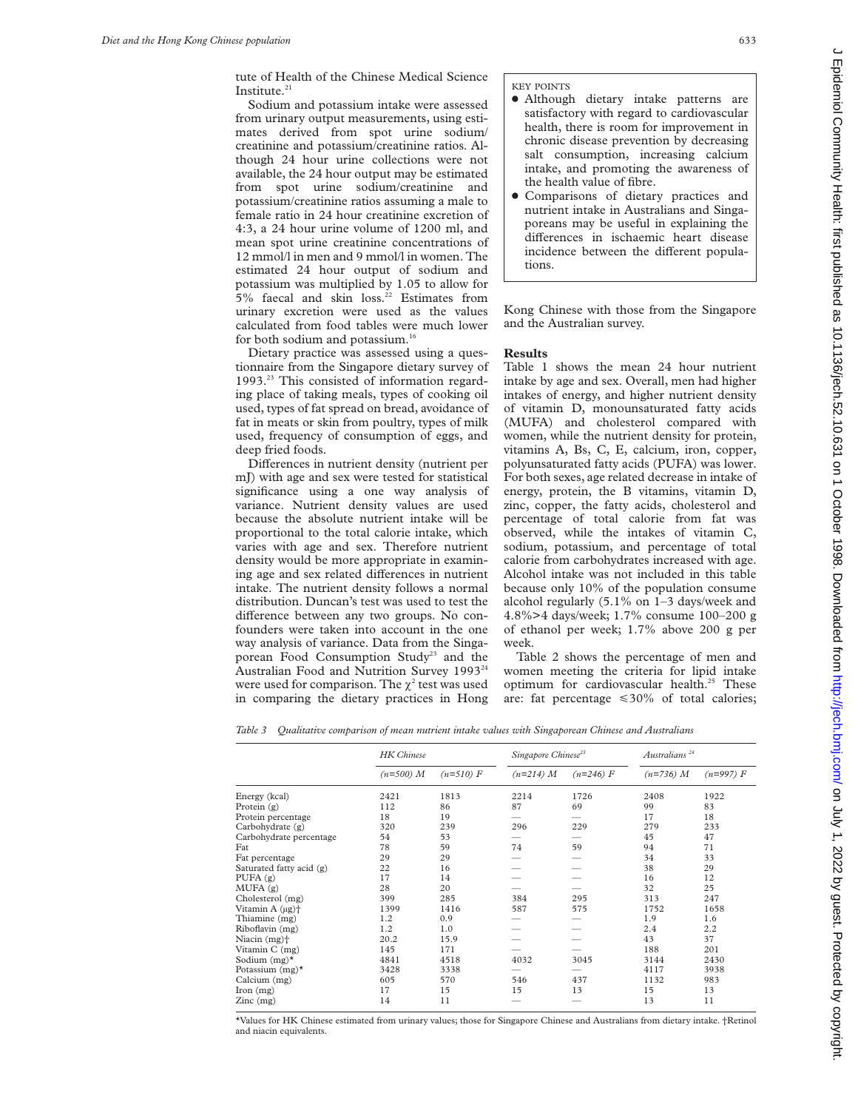Sodium and potassium intake were assessed from urinary output measurements, using estimates derived from spot urine sodium/ creatinine and potassium/creatinine ratios. Although 24 hour urine collections were not available, the 24 hour output may be estimated from spot urine sodium/creatinine and potassium/creatinine ratios assuming a male to female ratio in 24 hour creatinine excretion of 4:3, a 24 hour urine volume of 1200 ml, and mean spot urine creatinine concentrations of 12 mmol/l in men and 9 mmol/l in women. The estimated 24 hour output of sodium and potassium was multiplied by 1.05 to allow for  $5%$  faecal and skin loss.<sup>22</sup> Estimates from urinary excretion were used as the values calculated from food tables were much lower for both sodium and potassium.<sup>16</sup>

Dietary practice was assessed using a questionnaire from the Singapore dietary survey of 1993.23 This consisted of information regarding place of taking meals, types of cooking oil used, types of fat spread on bread, avoidance of fat in meats or skin from poultry, types of milk used, frequency of consumption of eggs, and deep fried foods.

Differences in nutrient density (nutrient per mJ) with age and sex were tested for statistical significance using a one way analysis of variance. Nutrient density values are used because the absolute nutrient intake will be proportional to the total calorie intake, which varies with age and sex. Therefore nutrient density would be more appropriate in examining age and sex related differences in nutrient intake. The nutrient density follows a normal distribution. Duncan's test was used to test the difference between any two groups. No confounders were taken into account in the one way analysis of variance. Data from the Singaporean Food Consumption Study<sup>23</sup> and the Australian Food and Nutrition Survey 1993<sup>24</sup> were used for comparison. The  $\gamma^2$  test was used in comparing the dietary practices in Hong

KEY POINTS

- Although dietary intake patterns are satisfactory with regard to cardiovascular health, there is room for improvement in chronic disease prevention by decreasing salt consumption, increasing calcium intake, and promoting the awareness of the health value of fibre.
- Comparisons of dietary practices and nutrient intake in Australians and Singaporeans may be useful in explaining the differences in ischaemic heart disease incidence between the different populations.

Kong Chinese with those from the Singapore and the Australian survey.

# **Results**

Table 1 shows the mean 24 hour nutrient intake by age and sex. Overall, men had higher intakes of energy, and higher nutrient density of vitamin D, monounsaturated fatty acids (MUFA) and cholesterol compared with women, while the nutrient density for protein, vitamins A, Bs, C, E, calcium, iron, copper, polyunsaturated fatty acids (PUFA) was lower. For both sexes, age related decrease in intake of energy, protein, the B vitamins, vitamin D, zinc, copper, the fatty acids, cholesterol and percentage of total calorie from fat was observed, while the intakes of vitamin C, sodium, potassium, and percentage of total calorie from carbohydrates increased with age. Alcohol intake was not included in this table because only 10% of the population consume alcohol regularly (5.1% on 1–3 days/week and 4.8%>4 days/week; 1.7% consume 100–200 g of ethanol per week; 1.7% above 200 g per week.

Table 2 shows the percentage of men and women meeting the criteria for lipid intake optimum for cardiovascular health.<sup>25</sup> These are: fat percentage  $\leq 30\%$  of total calories;

*Table 3 Qualitative comparison of mean nutrient intake values with Singaporean Chinese and Australians*

|                             | <b>HK</b> Chinese |             | Singapore Chinese <sup>23</sup> |             | Australians <sup>24</sup> |             |  |
|-----------------------------|-------------------|-------------|---------------------------------|-------------|---------------------------|-------------|--|
|                             | $(n=500) M$       | $(n=510) F$ | $(n=214)$ M                     | $(n=246) F$ | $(n=736) M$               | $(n=997) F$ |  |
| Energy (kcal)               | 2421              | 1813        | 2214                            | 1726        | 2408                      | 1922        |  |
| Protein $(g)$               | 112               | 86          | 87                              | 69          | 99                        | 83          |  |
| Protein percentage          | 18                | 19          |                                 |             | 17                        | 18          |  |
| Carbohydrate (g)            | 320               | 239         | 296                             | 229         | 279                       | 233         |  |
| Carbohydrate percentage     | 54                | 53          |                                 |             | 45                        | 47          |  |
| Fat                         | 78                | 59          | 74                              | 59          | 94                        | 71          |  |
| Fat percentage              | 29                | 29          |                                 |             | 34                        | 33          |  |
| Saturated fatty acid (g)    | 22                | 16          |                                 |             | 38                        | 29          |  |
| PUFA $(g)$                  | 17                | 14          |                                 |             | 16                        | 12          |  |
| MUFA(g)                     | 28                | 20          |                                 |             | 32                        | 25          |  |
| Cholesterol (mg)            | 399               | 285         | 384                             | 295         | 313                       | 247         |  |
| Vitamin A (µg) <sup>+</sup> | 1399              | 1416        | 587                             | 575         | 1752                      | 1658        |  |
| Thiamine (mg)               | 1.2               | 0.9         |                                 |             | 1.9                       | 1.6         |  |
| Riboflavin (mg)             | 1.2               | 1.0         |                                 |             | 2.4                       | 2.2         |  |
| Niacin $(mg)$ <sup>+</sup>  | 20.2              | 15.9        |                                 |             | 43                        | 37          |  |
| Vitamin C (mg)              | 145               | 171         |                                 |             | 188                       | 201         |  |
| Sodium $(mg)^*$             | 4841              | 4518        | 4032                            | 3045        | 3144                      | 2430        |  |
| Potassium $(mg)^*$          | 3428              | 3338        |                                 |             | 4117                      | 3938        |  |
| Calcium (mg)                | 605               | 570         | 546                             | 437         | 1132                      | 983         |  |
| Iron (mg)                   | 17                | 15          | 15                              | 13          | 15                        | 13          |  |
| $\text{Zinc}$ (mg)          | 14                | 11          |                                 |             | 13                        | 11          |  |

\*Values for HK Chinese estimated from urinary values; those for Singapore Chinese and Australians from dietary intake. †Retinol and niacin equivalents.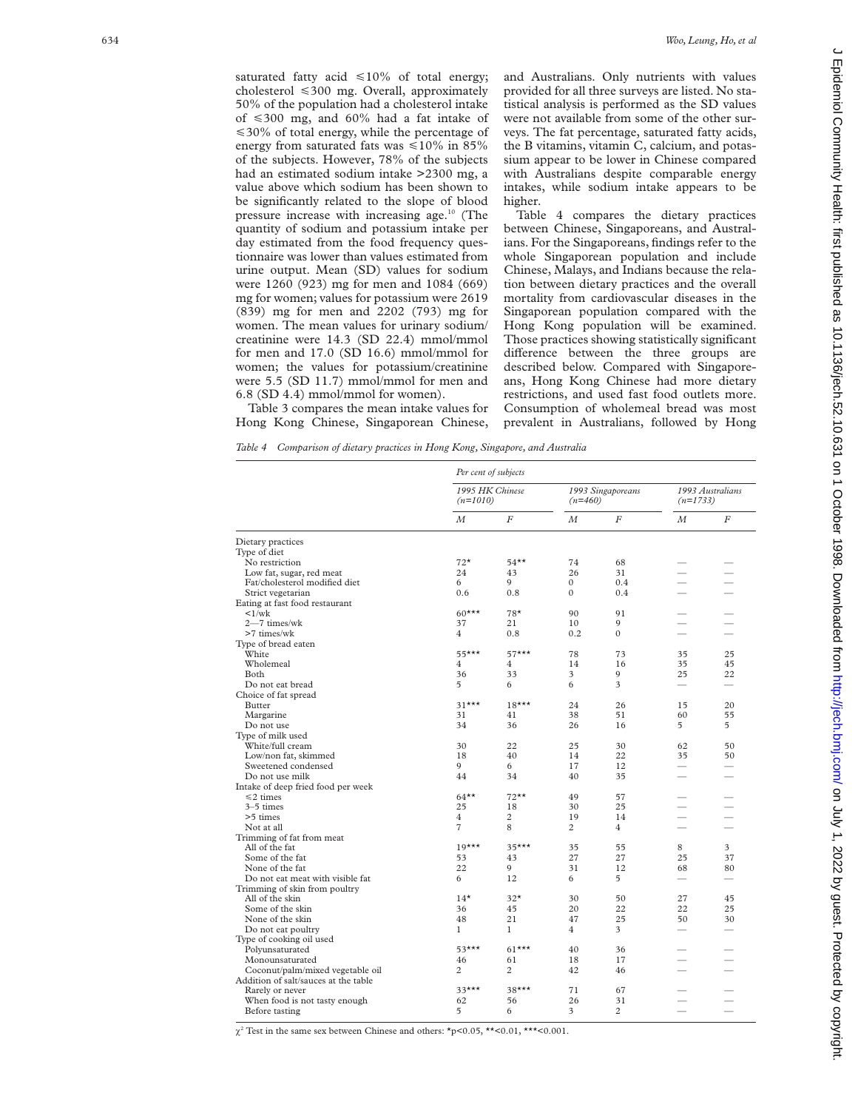saturated fatty acid  $\leq 10\%$  of total energy; cholesterol <300 mg. Overall, approximately 50% of the population had a cholesterol intake of  $\leq 300$  mg, and 60% had a fat intake of  $\leq 30\%$  of total energy, while the percentage of energy from saturated fats was  $\leq 10\%$  in 85% of the subjects. However, 78% of the subjects had an estimated sodium intake >2300 mg, a value above which sodium has been shown to be significantly related to the slope of blood pressure increase with increasing age.<sup>10</sup> (The quantity of sodium and potassium intake per day estimated from the food frequency questionnaire was lower than values estimated from urine output. Mean (SD) values for sodium were 1260 (923) mg for men and 1084 (669) mg for women; values for potassium were 2619 (839) mg for men and 2202 (793) mg for women. The mean values for urinary sodium/ creatinine were 14.3 (SD 22.4) mmol/mmol for men and 17.0 (SD 16.6) mmol/mmol for women; the values for potassium/creatinine were 5.5 (SD 11.7) mmol/mmol for men and 6.8 (SD 4.4) mmol/mmol for women).

and Australians. Only nutrients with values provided for all three surveys are listed. No statistical analysis is performed as the SD values were not available from some of the other surveys. The fat percentage, saturated fatty acids, the B vitamins, vitamin C, calcium, and potassium appear to be lower in Chinese compared with Australians despite comparable energy intakes, while sodium intake appears to be higher.

Table 4 compares the dietary practices between Chinese, Singaporeans, and Australians. For the Singaporeans, findings refer to the whole Singaporean population and include Chinese, Malays, and Indians because the relation between dietary practices and the overall mortality from cardiovascular diseases in the Singaporean population compared with the Hong Kong population will be examined. Those practices showing statistically significant difference between the three groups are described below. Compared with Singaporeans, Hong Kong Chinese had more dietary restrictions, and used fast food outlets more. Consumption of wholemeal bread was most prevalent in Australians, followed by Hong

Table 3 compares the mean intake values for Hong Kong Chinese, Singaporean Chinese,

*Table 4 Comparison of dietary practices in Hong Kong, Singapore, and Australia*

|                                      | Per cent of subjects          |                |                                |                  |                                |                          |  |  |
|--------------------------------------|-------------------------------|----------------|--------------------------------|------------------|--------------------------------|--------------------------|--|--|
|                                      | 1995 HK Chinese<br>$(n=1010)$ |                | 1993 Singaporeans<br>$(n=460)$ |                  | 1993 Australians<br>$(n=1733)$ |                          |  |  |
|                                      | $\boldsymbol{M}$              | $\cal F$       | М                              | $\boldsymbol{F}$ | $\boldsymbol{M}$               | $\boldsymbol{F}$         |  |  |
| Dietary practices                    |                               |                |                                |                  |                                |                          |  |  |
| Type of diet                         |                               |                |                                |                  |                                |                          |  |  |
| No restriction                       | $72*$                         | $54***$        | 74                             | 68               |                                |                          |  |  |
| Low fat, sugar, red meat             | 24                            | 43             | 26                             | 31               | $\overline{\phantom{0}}$       |                          |  |  |
| Fat/cholesterol modified diet        | 6                             | $\mathbf Q$    | $\Omega$                       | 0.4              | $\overline{\phantom{0}}$       |                          |  |  |
| Strict vegetarian                    | 0.6                           | 0.8            | $\Omega$                       | 0.4              |                                |                          |  |  |
| Eating at fast food restaurant       |                               |                |                                |                  |                                |                          |  |  |
| $<1$ /wk                             | $60***$                       | $78*$          | 90                             | 91               |                                |                          |  |  |
| 2-7 times/wk                         | 37                            | 21             | 10                             | $\mathbf Q$      |                                |                          |  |  |
| >7 times/wk                          | $\overline{4}$                | 0.8            | 0.2                            | $\Omega$         |                                |                          |  |  |
| Type of bread eaten                  |                               |                |                                |                  |                                |                          |  |  |
| White                                | $55***$                       | $57***$        | 78                             | 73               | 35                             | 25                       |  |  |
| Wholemeal                            | $\overline{4}$                | $\overline{4}$ | 14                             | 16               | 35                             | 45                       |  |  |
| <b>Both</b>                          | 36                            | 33             | 3                              | 9                | 25                             | 22                       |  |  |
| Do not eat bread                     | $\overline{5}$                | 6              | 6                              | 3                | $\overline{\phantom{0}}$       | $\overline{\phantom{0}}$ |  |  |
| Choice of fat spread                 |                               |                |                                |                  |                                |                          |  |  |
| Butter                               | $31***$                       | $18***$        | 24                             | 26               | 15                             | 20                       |  |  |
| Margarine                            | 31                            | 41             | 38                             | 51               | 60                             | 55                       |  |  |
| Do not use                           | 34                            | 36             | 26                             | 16               | 5                              | 5                        |  |  |
| Type of milk used                    |                               |                |                                |                  |                                |                          |  |  |
| White/full cream                     | 30                            | 22             | 25                             | 30               | 62                             | 50                       |  |  |
| Low/non fat, skimmed                 | 18                            | 40             | 14                             | 22               | 35                             | 50                       |  |  |
| Sweetened condensed                  | $\mathbf Q$                   | 6              | 17                             | 12               | $\overline{\phantom{0}}$       | $\overline{\phantom{0}}$ |  |  |
| Do not use milk                      | 44                            | 34             | 40                             | 35               |                                |                          |  |  |
| Intake of deep fried food per week   |                               |                |                                |                  |                                |                          |  |  |
| $\leq$ 2 times                       | $64***$                       | $72**$         | 49                             | 57               |                                |                          |  |  |
| $3-5$ times                          | 25                            | 18             | 30                             | 25               |                                |                          |  |  |
| >5 times                             | $\overline{4}$                | $\overline{c}$ | 19                             | 14               |                                |                          |  |  |
| Not at all                           | $\overline{7}$                | 8              | $\overline{2}$                 | $\overline{4}$   | $\overline{\phantom{a}}$       |                          |  |  |
| Trimming of fat from meat            |                               |                |                                |                  |                                |                          |  |  |
| All of the fat                       | $19***$                       | $35***$        | 35                             | 55               | 8                              | 3                        |  |  |
| Some of the fat                      | 53                            | 43             | 27                             | 27               | 25                             | 37                       |  |  |
| None of the fat                      | 22                            | $\mathbf Q$    | 31                             | 12               | 68                             | 80                       |  |  |
| Do not eat meat with visible fat     | 6                             | 12             | 6                              | 5                |                                |                          |  |  |
| Trimming of skin from poultry        |                               |                |                                |                  |                                |                          |  |  |
| All of the skin                      | $14*$                         | $32*$          | 30                             | 50               | 27                             | 45                       |  |  |
| Some of the skin                     | 36                            | 45             | 20                             | 22               | 22                             | 25                       |  |  |
| None of the skin                     | 48                            | 21             | 47                             | 25               | 50                             | 30                       |  |  |
| Do not eat poultry                   | $\mathbf{1}$                  | $\mathbf{1}$   | $\overline{4}$                 | 3                |                                |                          |  |  |
| Type of cooking oil used             |                               |                |                                |                  |                                |                          |  |  |
| Polyunsaturated                      | $53***$                       | $61***$        | 40                             | 36               |                                |                          |  |  |
| Monounsaturated                      | 46                            | 61             | 18                             | 17               |                                |                          |  |  |
| Coconut/palm/mixed vegetable oil     | $\overline{c}$                | $\overline{c}$ | 42                             | 46               | $\overline{\phantom{0}}$       |                          |  |  |
| Addition of salt/sauces at the table |                               |                |                                |                  |                                |                          |  |  |
| Rarely or never                      | $33***$                       | $38***$        | 71                             | 67               |                                |                          |  |  |
| When food is not tasty enough        | 62                            | 56             | 26                             | 31               |                                |                          |  |  |
| Before tasting                       | 5                             | 6              | 3                              | $\overline{c}$   |                                |                          |  |  |
|                                      |                               |                |                                |                  |                                |                          |  |  |

 $\chi^2$  Test in the same sex between Chinese and others: \*p<0.05, \*\*<0.01, \*\*\*<0.001.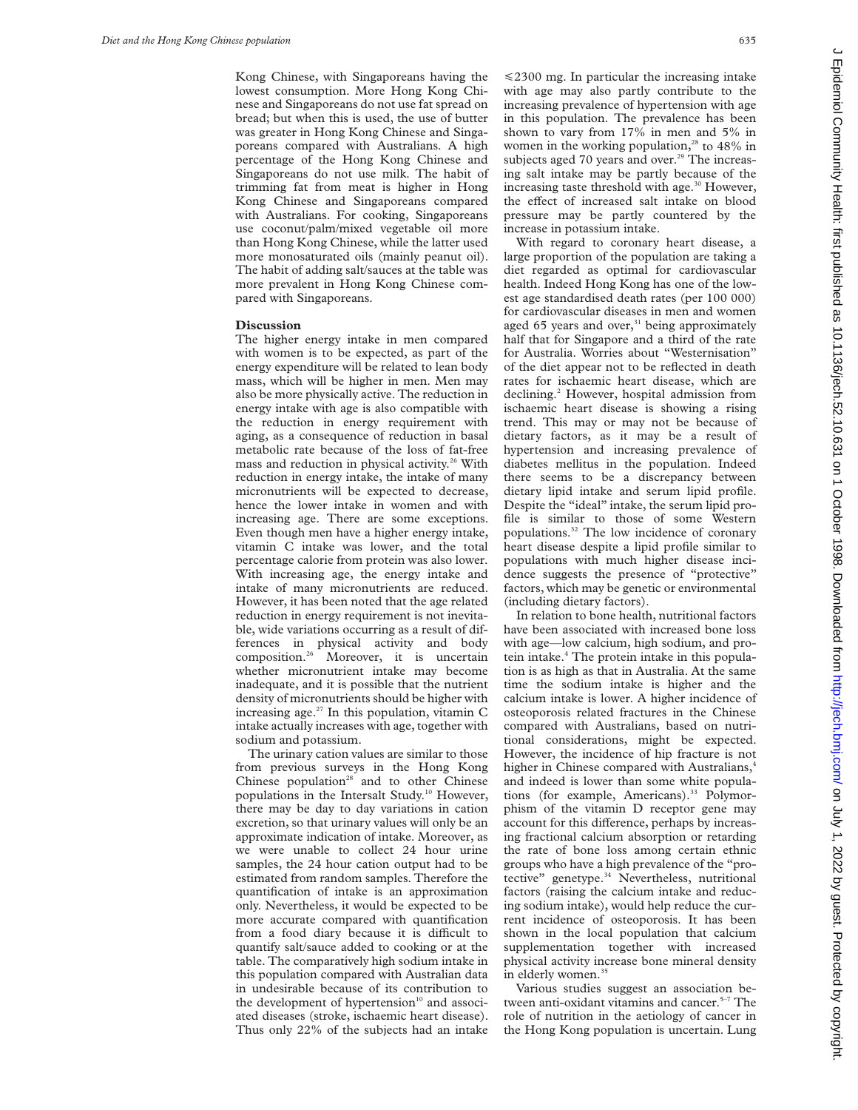Kong Chinese, with Singaporeans having the lowest consumption. More Hong Kong Chinese and Singaporeans do not use fat spread on bread; but when this is used, the use of butter was greater in Hong Kong Chinese and Singaporeans compared with Australians. A high percentage of the Hong Kong Chinese and Singaporeans do not use milk. The habit of trimming fat from meat is higher in Hong Kong Chinese and Singaporeans compared with Australians. For cooking, Singaporeans use coconut/palm/mixed vegetable oil more than Hong Kong Chinese, while the latter used more monosaturated oils (mainly peanut oil). The habit of adding salt/sauces at the table was more prevalent in Hong Kong Chinese compared with Singaporeans.

# **Discussion**

The higher energy intake in men compared with women is to be expected, as part of the energy expenditure will be related to lean body mass, which will be higher in men. Men may also be more physically active. The reduction in energy intake with age is also compatible with the reduction in energy requirement with aging, as a consequence of reduction in basal metabolic rate because of the loss of fat-free mass and reduction in physical activity.<sup>26</sup> With reduction in energy intake, the intake of many micronutrients will be expected to decrease, hence the lower intake in women and with increasing age. There are some exceptions. Even though men have a higher energy intake, vitamin C intake was lower, and the total percentage calorie from protein was also lower. With increasing age, the energy intake and intake of many micronutrients are reduced. However, it has been noted that the age related reduction in energy requirement is not inevitable, wide variations occurring as a result of differences in physical activity and body composition.26 Moreover, it is uncertain whether micronutrient intake may become inadequate, and it is possible that the nutrient density of micronutrients should be higher with increasing age. $27$  In this population, vitamin C intake actually increases with age, together with sodium and potassium.

The urinary cation values are similar to those from previous surveys in the Hong Kong Chinese population $28$  and to other Chinese populations in the Intersalt Study.10 However, there may be day to day variations in cation excretion, so that urinary values will only be an approximate indication of intake. Moreover, as we were unable to collect 24 hour urine samples, the 24 hour cation output had to be estimated from random samples. Therefore the quantification of intake is an approximation only. Nevertheless, it would be expected to be more accurate compared with quantification from a food diary because it is difficult to quantify salt/sauce added to cooking or at the table. The comparatively high sodium intake in this population compared with Australian data in undesirable because of its contribution to the development of hypertension $10$  and associated diseases (stroke, ischaemic heart disease). Thus only 22% of the subjects had an intake

 $\leq$ 2300 mg. In particular the increasing intake with age may also partly contribute to the increasing prevalence of hypertension with age in this population. The prevalence has been shown to vary from 17% in men and 5% in women in the working population,<sup>28</sup> to 48% in subjects aged 70 years and over.<sup>29</sup> The increasing salt intake may be partly because of the increasing taste threshold with age. $30$  However, the effect of increased salt intake on blood pressure may be partly countered by the increase in potassium intake.

With regard to coronary heart disease, a large proportion of the population are taking a diet regarded as optimal for cardiovascular health. Indeed Hong Kong has one of the lowest age standardised death rates (per 100 000) for cardiovascular diseases in men and women aged 65 years and over, $31$  being approximately half that for Singapore and a third of the rate for Australia. Worries about "Westernisation" of the diet appear not to be reflected in death rates for ischaemic heart disease, which are declining.<sup>2</sup> However, hospital admission from ischaemic heart disease is showing a rising trend. This may or may not be because of dietary factors, as it may be a result of hypertension and increasing prevalence of diabetes mellitus in the population. Indeed there seems to be a discrepancy between dietary lipid intake and serum lipid profile. Despite the "ideal" intake, the serum lipid profile is similar to those of some Western populations.32 The low incidence of coronary heart disease despite a lipid profile similar to populations with much higher disease incidence suggests the presence of "protective" factors, which may be genetic or environmental (including dietary factors).

In relation to bone health, nutritional factors have been associated with increased bone loss with age—low calcium, high sodium, and protein intake.4 The protein intake in this population is as high as that in Australia. At the same time the sodium intake is higher and the calcium intake is lower. A higher incidence of osteoporosis related fractures in the Chinese compared with Australians, based on nutritional considerations, might be expected. However, the incidence of hip fracture is not higher in Chinese compared with Australians,<sup>4</sup> and indeed is lower than some white populations (for example, Americans).<sup>33</sup> Polymorphism of the vitamin D receptor gene may account for this difference, perhaps by increasing fractional calcium absorption or retarding the rate of bone loss among certain ethnic groups who have a high prevalence of the "protective" genetype.<sup>34</sup> Nevertheless, nutritional factors (raising the calcium intake and reducing sodium intake), would help reduce the current incidence of osteoporosis. It has been shown in the local population that calcium supplementation together with increased physical activity increase bone mineral density in elderly women.<sup>35</sup>

Various studies suggest an association between anti-oxidant vitamins and cancer.<sup>5-7</sup> The role of nutrition in the aetiology of cancer in the Hong Kong population is uncertain. Lung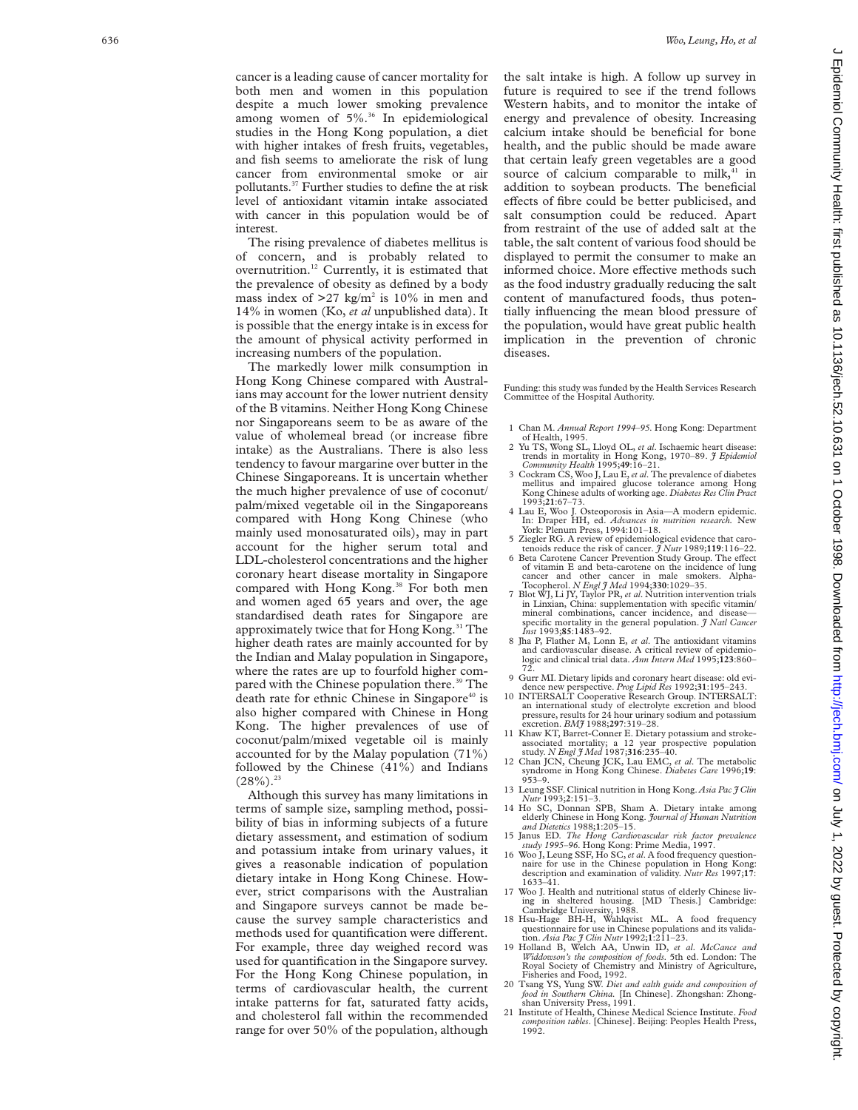cancer is a leading cause of cancer mortality for both men and women in this population despite a much lower smoking prevalence among women of 5%.<sup>36</sup> In epidemiological studies in the Hong Kong population, a diet with higher intakes of fresh fruits, vegetables, and fish seems to ameliorate the risk of lung cancer from environmental smoke or air pollutants.37 Further studies to define the at risk level of antioxidant vitamin intake associated with cancer in this population would be of interest.

The rising prevalence of diabetes mellitus is of concern, and is probably related to overnutrition.12 Currently, it is estimated that the prevalence of obesity as defined by a body mass index of  $>27$  kg/m<sup>2</sup> is 10% in men and 14% in women (Ko, *et al* unpublished data). It is possible that the energy intake is in excess for the amount of physical activity performed in increasing numbers of the population.

The markedly lower milk consumption in Hong Kong Chinese compared with Australians may account for the lower nutrient density of the B vitamins. Neither Hong Kong Chinese nor Singaporeans seem to be as aware of the value of wholemeal bread (or increase fibre intake) as the Australians. There is also less tendency to favour margarine over butter in the Chinese Singaporeans. It is uncertain whether the much higher prevalence of use of coconut/ palm/mixed vegetable oil in the Singaporeans compared with Hong Kong Chinese (who mainly used monosaturated oils), may in part account for the higher serum total and LDL-cholesterol concentrations and the higher coronary heart disease mortality in Singapore compared with Hong Kong.<sup>38</sup> For both men and women aged 65 years and over, the age standardised death rates for Singapore are approximately twice that for Hong Kong.<sup>31</sup> The higher death rates are mainly accounted for by the Indian and Malay population in Singapore, where the rates are up to fourfold higher compared with the Chinese population there.<sup>39</sup> The death rate for ethnic Chinese in Singapore<sup>40</sup> is also higher compared with Chinese in Hong Kong. The higher prevalences of use of coconut/palm/mixed vegetable oil is mainly accounted for by the Malay population (71%) followed by the Chinese (41%) and Indians  $(28\%)$ <sup>23</sup>

Although this survey has many limitations in terms of sample size, sampling method, possibility of bias in informing subjects of a future dietary assessment, and estimation of sodium and potassium intake from urinary values, it gives a reasonable indication of population dietary intake in Hong Kong Chinese. However, strict comparisons with the Australian and Singapore surveys cannot be made because the survey sample characteristics and methods used for quantification were different. For example, three day weighed record was used for quantification in the Singapore survey. For the Hong Kong Chinese population, in terms of cardiovascular health, the current intake patterns for fat, saturated fatty acids, and cholesterol fall within the recommended range for over 50% of the population, although

the salt intake is high. A follow up survey in future is required to see if the trend follows Western habits, and to monitor the intake of energy and prevalence of obesity. Increasing calcium intake should be beneficial for bone health, and the public should be made aware that certain leafy green vegetables are a good source of calcium comparable to milk, $41$  in addition to soybean products. The beneficial effects of fibre could be better publicised, and salt consumption could be reduced. Apart from restraint of the use of added salt at the table, the salt content of various food should be displayed to permit the consumer to make an informed choice. More effective methods such as the food industry gradually reducing the salt content of manufactured foods, thus potentially influencing the mean blood pressure of the population, would have great public health implication in the prevention of chronic diseases.

Funding: this study was funded by the Health Services Research Committee of the Hospital Authority.

- 1 Chan M. *Annual Report 1994–95*. Hong Kong: Department of Health, 1995.
- 2 Yu TS, Wong SL, Lloyd OL, *et al*. Ischaemic heart disease: trends in mortality in Hong Kong, 1970–89. *J Epidemiol*
- *Community Health* 1995;**49**:16–21. 3 Cockram CS, Woo J, Lau E,*et al*. The prevalence of diabetes mellitus and impaired glucose tolerance among Hong Kong Chinese adults of working age. *Diabetes Res Clin Pract*
- 1993;**21**:67–73. 4 Lau E, Woo J. Osteoporosis in Asia—A modern epidemic. In: Draper HH, ed. *Advances in nutrition research.* New York: Plenum Press, 1994:101–18.
- 5 Ziegler RG. A review of epidemiological evidence that carotenoids reduce the risk of cancer. *J Nutr* 1989;**119**:116–22.
- 6 Beta Carotene Cancer Prevention Study Group. The effect of vitamin E and beta-carotene on the incidence of lung cancer and other cancer in male smokers. Alpha-Tocopherol. *N Engl J Med* 1994;**330**:1029–35.
- 7 Blot WJ, Li JY, Taylor PR, *et al*. Nutrition intervention trials in Linxian, China: supplementation with specific vitamin/ mineral combinations, cancer incidence, and disease— specific mortality in the general population. *J Natl Cancer Inst* 1993;**85**:1483–92.
- 8 Jha P, Flather M, Lonn E, *et al*. The antioxidant vitamins and cardiovascular disease. A critical review of epidemio-logic and clinical trial data. *Ann Intern Med* 1995;**123**:860– 72.
- 9 Gurr MI. Dietary lipids and coronary heart disease: old evi-
- dence new perspective. *Prog Lipid Res* 1992;31:195-243.<br>10 INTERSALT Cooperative Research Group. INTERSALT:<br>an international study of electrolyte excretion and blood<br>pressure, results for 24 hour urinary sodium and potass excretion. *BMJ* 1988;**297**:319–28.
- 11 Khaw KT, Barret-Conner E. Dietary potassium and strokeassociated mortality; a 12 year prospective population study. *N Engl J Med* 1987;**316**:235–40.
- 12 Chan JCN, Cheung JCK, Lau EMC, *et al*. The metabolic syndrome in Hong Kong Chinese. *Diabetes Care* 1996;**19** : 953–9.
- 13 Leung SSF. Clinical nutrition in Hong Kong. *Asia Pac J Clin*
- *Nutr* 1993; **2**:151–3. 14 Ho SC, Donnan SPB, Sham A. Dietary intake among elderly Chinese in Hong Kong. *Journal of Human Nutrition and Dietetics* 1988; **1**:205–15.
- 15 Janus ED. *The Hong Cardiovascular risk factor prevalence study 1995–96*. Hong Kong: Prime Media, 1997. 16 Woo J, Leung SSF, Ho SC,*et al*. A food frequency question-
- naire for use in the Chinese population in Hong Kong: description and examination of validity. *Nutr Res* 1997;**17** : 1633–41.
- 17 Woo J. Health and nutritional status of elderly Chinese living in sheltered housing. [MD Thesis.] Cambridge: Cambridge University, 1988.
- 18 Hsu-Hage BH-H, Wahlqvist ML. A food frequency questionnaire for use in Chinese populations and its valida-tion. *Asia Pac J Clin Nutr* 1992;**1**:211–23.
- 19 Holland B, Welch AA, Unwin ID, *et al* . *McCance and Widdowson's the composition of foods*. 5th ed. London: The Royal Society of Chemistry and Ministry of Agriculture, Fisheries and Food, 1992.
- 20 Tsang YS, Yung SW. *Diet and ealth guide and composition of food in Southern China.* [In Chinese]. Zhongshan: Zhong-shan University Press, 1991.
- 21 Institute of Health, Chinese Medical Science Institute. *Food composition tables*. [Chinese]. Beijing: Peoples Health Press, 1992.